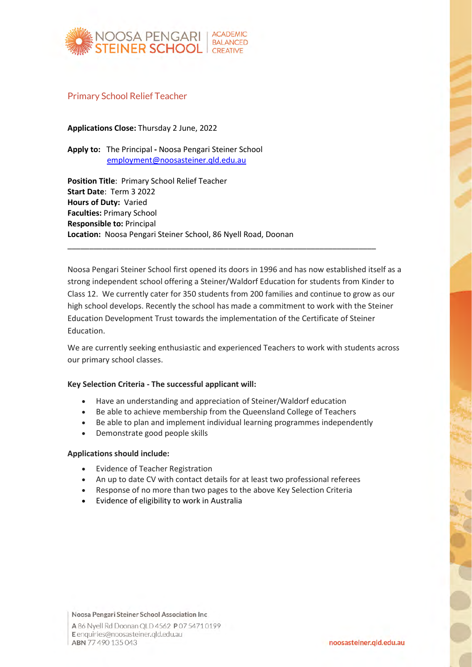

## Primary School Relief Teacher

**Applications Close:** Thursday 2 June, 2022

**Apply to:** The Principal **-** Noosa Pengari Steiner School [employment@noosasteiner.qld.edu.au](mailto:employment@noosasteiner.qld.edu.au)

**Position Title**: Primary School Relief Teacher **Start Date**: Term 3 2022 **Hours of Duty:** Varied **Faculties:** Primary School **Responsible to:** Principal **Location:** Noosa Pengari Steiner School, 86 Nyell Road, Doonan

Noosa Pengari Steiner School first opened its doors in 1996 and has now established itself as a strong independent school offering a Steiner/Waldorf Education for students from Kinder to Class 12. We currently cater for 350 students from 200 families and continue to grow as our high school develops. Recently the school has made a commitment to work with the Steiner Education Development Trust towards the implementation of the Certificate of Steiner Education.

\_\_\_\_\_\_\_\_\_\_\_\_\_\_\_\_\_\_\_\_\_\_\_\_\_\_\_\_\_\_\_\_\_\_\_\_\_\_\_\_\_\_\_\_\_\_\_\_\_\_\_\_\_\_\_\_\_\_\_\_\_\_\_\_\_\_\_\_\_\_\_

We are currently seeking enthusiastic and experienced Teachers to work with students across our primary school classes.

### **Key Selection Criteria - The successful applicant will:**

- Have an understanding and appreciation of Steiner/Waldorf education
- Be able to achieve membership from the Queensland College of Teachers
- Be able to plan and implement individual learning programmes independently
- Demonstrate good people skills

#### **Applications should include:**

- Evidence of Teacher Registration
- An up to date CV with contact details for at least two professional referees
- Response of no more than two pages to the above Key Selection Criteria
- Evidence of eligibility to work in Australia